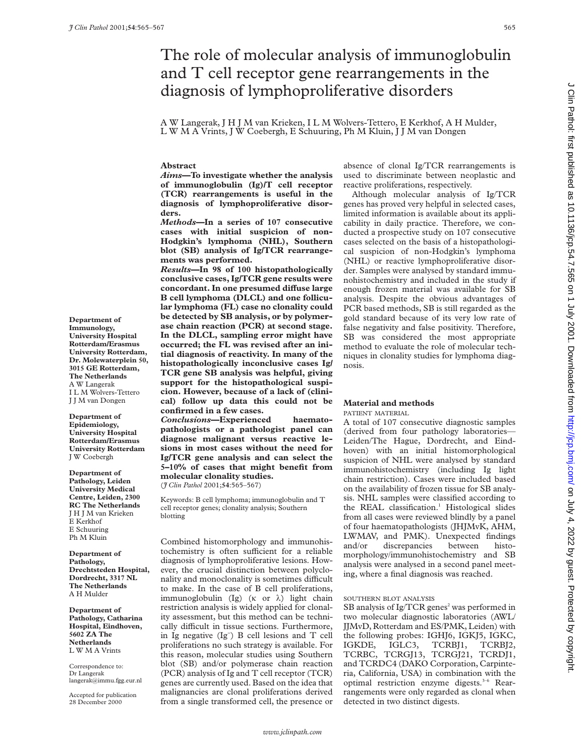# The role of molecular analysis of immunoglobulin and T cell receptor gene rearrangements in the diagnosis of lymphoproliferative disorders

A W Langerak, J H J M van Krieken, I L M Wolvers-Tettero, E Kerkhof, A H Mulder, L W M A Vrints, J W Coebergh, E Schuuring, Ph M Kluin, J J M van Dongen

**Abstract**

*Aims***—To investigate whether the analysis of immunoglobulin (Ig)/T cell receptor (TCR) rearrangements is useful in the diagnosis of lymphoproliferative disorders.**

*Methods***—In a series of 107 consecutive cases with initial suspicion of non-Hodgkin's lymphoma (NHL), Southern blot (SB) analysis of Ig/TCR rearrangements was performed.**

*Results***—In 98 of 100 histopathologically conclusive cases, Ig/TCR gene results were** concordant. In one presumed diffuse large **B cell lymphoma (DLCL) and one follicular lymphoma (FL) case no clonality could be detected by SB analysis, or by polymerase chain reaction (PCR) at second stage. In the DLCL, sampling error might have occurred; the FL was revised after an initial diagnosis of reactivity. In many of the histopathologically inconclusive cases Ig/ TCR gene SB analysis was helpful, giving support for the histopathological suspicion. However, because of a lack of (clinical) follow up data this could not be confirmed in a few cases.**

*Conclusions***—Experienced haematopathologists or a pathologist panel can diagnose malignant versus reactive lesions in most cases without the need for Ig/TCR gene analysis and can select the 5–10% of cases that might benefit from molecular clonality studies.** (*J Clin Pathol* 2001;**54**:565–567)

Keywords: B cell lymphoma; immunoglobulin and T cell receptor genes; clonality analysis; Southern blotting

Combined histomorphology and immunohistochemistry is often sufficient for a reliable diagnosis of lymphoproliferative lesions. However, the crucial distinction between polyclonality and monoclonality is sometimes difficult to make. In the case of B cell proliferations, immunoglobulin (Ig) ( $\kappa$  or  $\lambda$ ) light chain restriction analysis is widely applied for clonality assessment, but this method can be technically difficult in tissue sections. Furthermore, in Ig negative (Ig− ) B cell lesions and T cell proliferations no such strategy is available. For this reason, molecular studies using Southern blot (SB) and/or polymerase chain reaction (PCR) analysis of Ig and T cell receptor (TCR) genes are currently used. Based on the idea that malignancies are clonal proliferations derived from a single transformed cell, the presence or

absence of clonal Ig/TCR rearrangements is used to discriminate between neoplastic and reactive proliferations, respectively.

Although molecular analysis of Ig/TCR genes has proved very helpful in selected cases, limited information is available about its applicability in daily practice. Therefore, we conducted a prospective study on 107 consecutive cases selected on the basis of a histopathological suspicion of non-Hodgkin's lymphoma (NHL) or reactive lymphoproliferative disorder. Samples were analysed by standard immunohistochemistry and included in the study if enough frozen material was available for SB analysis. Despite the obvious advantages of PCR based methods, SB is still regarded as the gold standard because of its very low rate of false negativity and false positivity. Therefore, SB was considered the most appropriate method to evaluate the role of molecular techniques in clonality studies for lymphoma diagnosis.

# **Material and methods**

PATIENT MATERIAL

A total of 107 consecutive diagnostic samples (derived from four pathology laboratories— Leiden/The Hague, Dordrecht, and Eindhoven) with an initial histomorphological suspicion of NHL were analysed by standard immunohistochemistry (including Ig light chain restriction). Cases were included based on the availability of frozen tissue for SB analysis. NHL samples were classified according to the REAL classification.<sup>1</sup> Histological slides from all cases were reviewed blindly by a panel of four haematopathologists (JHJMvK, AHM, LWMAV, and PMK). Unexpected findings and/or discrepancies between histomorphology/immunohistochemistry and SB analysis were analysed in a second panel meeting, where a final diagnosis was reached.

### SOUTHERN BLOT ANALYSIS

SB analysis of  $Ig/TCR$  genes<sup>2</sup> was performed in two molecular diagnostic laboratories (AWL/ JJMvD, Rotterdam and ES/PMK, Leiden) with the following probes: IGHJ6, IGKJ5, IGKC, IGKDE, IGLC3, TCRBJ1, TCRBJ2, IGLC3, TCRBJ1, TCRBJ2, TCRBC, TCRGJ13, TCRGJ21, TCRDJ1, and TCRDC4 (DAKO Corporation, Carpinteria, California, USA) in combination with the optimal restriction enzyme digests.<sup>3-6</sup> Rearrangements were only regarded as clonal when detected in two distinct digests.

**Department of Immunology, University Hospital Rotterdam/Erasmus University Rotterdam, Dr. Molewaterplein 50, 3015 GE Rotterdam, The Netherlands** A W Langerak I L M Wolvers-Tettero J J M van Dongen

**Department of Epidemiology, University Hospital Rotterdam/Erasmus University Rotterdam** J W Coebergh

**Department of Pathology, Leiden University Medical Centre, Leiden, 2300 RC The Netherlands** J H J M van Krieken E Kerkhof E Schuuring Ph M Kluin

**Department of Pathology, Drechtsteden Hospital, Dordrecht, 3317 NL The Netherlands** A H Mulder

**Department of Pathology, Catharina Hospital, Eindhoven, 5602 ZA The Netherlands** L W M A Vrints

Correspondence to: Dr Langerak langerak@immu.fgg.eur.nl

Accepted for publication 28 December 2000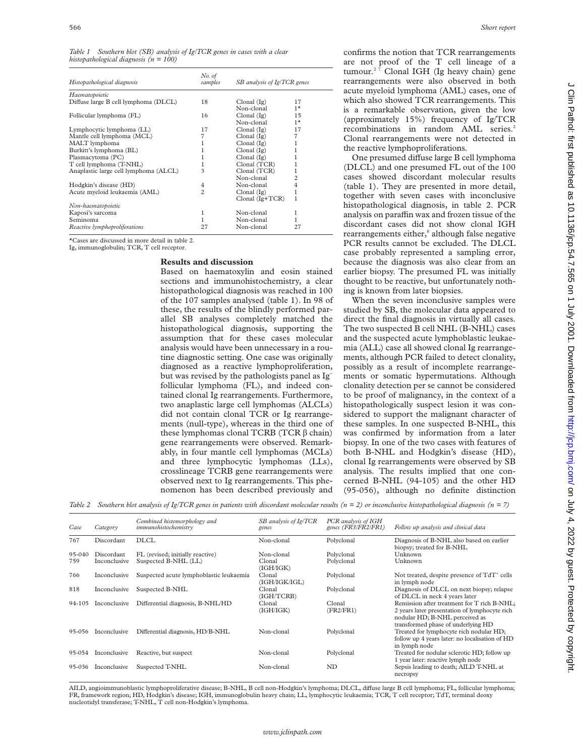| Table 1 Southern blot (SB) analysis of $Ig/TCR$ genes in cases with a clear |  |  |  |  |
|-----------------------------------------------------------------------------|--|--|--|--|
| histopathological diagnosis ( $n = 100$ )                                   |  |  |  |  |

| Histopathological diagnosis           | No. of<br>samples | SB analysis of Ig/TCR genes |                |  |
|---------------------------------------|-------------------|-----------------------------|----------------|--|
| Haematopoietic                        |                   |                             |                |  |
| Diffuse large B cell lymphoma (DLCL)  | 18                | Clonal (Ig)                 | 17             |  |
|                                       |                   | Non-clonal                  | $1*$           |  |
| Follicular lymphoma (FL)              | 16                | Clonal (Ig)                 | 15             |  |
|                                       |                   | Non-clonal                  | $1*$           |  |
| Lymphocytic lymphoma (LL)             | 17                | Clonal (Ig)                 | 17             |  |
| Mantle cell lymphoma (MCL)            | 7                 | Clonal (Ig)                 | 7              |  |
| MALT lymphoma                         |                   | Clonal (Ig)                 |                |  |
| Burkitt's lymphoma (BL)               |                   | Clonal $(Ig)$               |                |  |
| Plasmacytoma (PC)                     |                   | Clonal $(Ig)$               |                |  |
| T cell lymphoma (T-NHL)               |                   | Clonal (TCR)                |                |  |
| Anaplastic large cell lymphoma (ALCL) | 3                 | Clonal (TCR)                |                |  |
|                                       |                   | Non-clonal                  | 2              |  |
| Hodgkin's disease (HD)                | 4                 | Non-clonal                  | $\overline{4}$ |  |
| Acute myeloid leukaemia (AML)         | $\overline{c}$    | Clonal (Ig)                 | 1              |  |
|                                       |                   | $Clonal (Ig+TCR)$           | 1              |  |
| Non-haematopoietic                    |                   |                             |                |  |
| Kaposi's sarcoma                      |                   | Non-clonal                  | 1              |  |
| Seminoma                              |                   | Non-clonal                  |                |  |
| Reactive lymphoproliferations         | 27                | Non-clonal                  | 27             |  |

\*Cases are discussed in more detail in table 2.

Ig, immunoglobulin; TCR, T cell receptor.

## **Results and discussion**

Based on haematoxylin and eosin stained sections and immunohistochemistry, a clear histopathological diagnosis was reached in 100 of the 107 samples analysed (table 1). In 98 of these, the results of the blindly performed parallel SB analyses completely matched the histopathological diagnosis, supporting the assumption that for these cases molecular analysis would have been unnecessary in a routine diagnostic setting. One case was originally diagnosed as a reactive lymphoproliferation, but was revised by the pathologists panel as Ig− follicular lymphoma (FL), and indeed contained clonal Ig rearrangements. Furthermore, two anaplastic large cell lymphomas (ALCLs) did not contain clonal TCR or Ig rearrangements (null-type), whereas in the third one of these lymphomas clonal TCRB (TCR $\beta$  chain) gene rearrangements were observed. Remarkably, in four mantle cell lymphomas (MCLs) and three lymphocytic lymphomas (LLs), crosslineage TCRB gene rearrangements were observed next to Ig rearrangements. This phenomenon has been described previously and

confirms the notion that TCR rearrangements are not proof of the T cell lineage of a tumour.<sup>27</sup> Clonal IGH (Ig heavy chain) gene rearrangements were also observed in both acute myeloid lymphoma (AML) cases, one of which also showed TCR rearrangements. This is a remarkable observation, given the low (approximately 15%) frequency of Ig/TCR recombinations in random AML series.<sup>2</sup> Clonal rearrangements were not detected in the reactive lymphoproliferations.

One presumed diffuse large B cell lymphoma (DLCL) and one presumed FL out of the 100 cases showed discordant molecular results (table 1). They are presented in more detail, together with seven cases with inconclusive histopathological diagnosis, in table 2. PCR analysis on paraffin wax and frozen tissue of the discordant cases did not show clonal IGH rearrangements either,<sup>8</sup> although false negative PCR results cannot be excluded. The DLCL case probably represented a sampling error, because the diagnosis was also clear from an earlier biopsy. The presumed FL was initially thought to be reactive, but unfortunately nothing is known from later biopsies.

When the seven inconclusive samples were studied by SB, the molecular data appeared to direct the final diagnosis in virtually all cases. The two suspected B cell NHL (B-NHL) cases and the suspected acute lymphoblastic leukaemia (ALL) case all showed clonal Ig rearrangements, although PCR failed to detect clonality, possibly as a result of incomplete rearrangements or somatic hypermutations. Although clonality detection per se cannot be considered to be proof of malignancy, in the context of a histopathologically suspect lesion it was considered to support the malignant character of these samples. In one suspected B-NHL, this was confirmed by information from a later biopsy. In one of the two cases with features of both B-NHL and Hodgkin's disease (HD), clonal Ig rearrangements were observed by SB analysis. The results implied that one concerned B-NHL (94-105) and the other HD (95-056), although no definite distinction

*Table 2 Southern blot analysis of Ig/TCR genes in patients with discordant molecular results (n = 2) or inconclusive histopathological diagnosis (n = 7)*

| Case   | Category     | Combined histomorphology and<br>immunohistochemistry | SB analysis of Ig/TCR<br>genes | PCR analysis of IGH<br>genes (FR3/FR2/FR1) | Follow up analysis and clinical data                                                                                                                                 |
|--------|--------------|------------------------------------------------------|--------------------------------|--------------------------------------------|----------------------------------------------------------------------------------------------------------------------------------------------------------------------|
| 767    | Discordant   | <b>DLCL</b>                                          | Non-clonal                     | Polyclonal                                 | Diagnosis of B-NHL also based on earlier<br>biopsy; treated for B-NHL                                                                                                |
| 95-040 | Discordant   | FL (revised; initially reactive)                     | Non-clonal                     | Polyclonal                                 | Unknown                                                                                                                                                              |
| 759    | Inconclusive | Suspected B-NHL (LL)                                 | Clonal<br>(IGH/IGK)            | Polyclonal                                 | Unknown                                                                                                                                                              |
| 766    | Inconclusive | Suspected acute lymphoblastic leukaemia              | Clonal<br>(IGH/IGK/IGL)        | Polyclonal                                 | Not treated, despite presence of TdT <sup>+</sup> cells<br>in lymph node                                                                                             |
| 818    | Inconclusive | Suspected B-NHL                                      | Clonal<br>(IGH/TCRB)           | Polyclonal                                 | Diagnosis of DLCL on next biopsy; relapse<br>of DLCL in neck 4 years later                                                                                           |
| 94-105 | Inconclusive | Differential diagnosis, B-NHL/HD                     | Clonal<br>(IGH/IGK)            | Clonal<br>(FR2/FR1)                        | Remission after treatment for T rich B-NHL;<br>2 years later presentation of lymphocyte rich<br>nodular HD; B-NHL perceived as<br>transformed phase of underlying HD |
| 95-056 | Inconclusive | Differential diagnosis, HD/B-NHL                     | Non-clonal                     | Polyclonal                                 | Treated for lymphocyte rich nodular HD;<br>follow up 4 years later: no localisation of HD<br>in lymph node                                                           |
| 95-054 | Inconclusive | Reactive, but suspect                                | Non-clonal                     | Polyclonal                                 | Treated for nodular sclerotic HD; follow up<br>1 year later: reactive lymph node                                                                                     |
| 95-036 | Inconclusive | Suspected T-NHL                                      | Non-clonal                     | ND                                         | Sepsis leading to death; AILD T-NHL at<br>necropsy                                                                                                                   |

AILD, angioimmunoblastic lymphoproliferative disease; B-NHL, B cell non-Hodgkin's lymphoma; DLCL, diffuse large B cell lymphoma; FL, follicular lymphoma; FR, framework region; HD, Hodgkin's disease; IGH, immunoglobulin heavy chain; LL, lymphocytic leukaemia; TCR, T cell receptor; TdT, terminal deoxy nucleotidyl transferase; T-NHL, T cell non-Hodgkin's lymphoma.